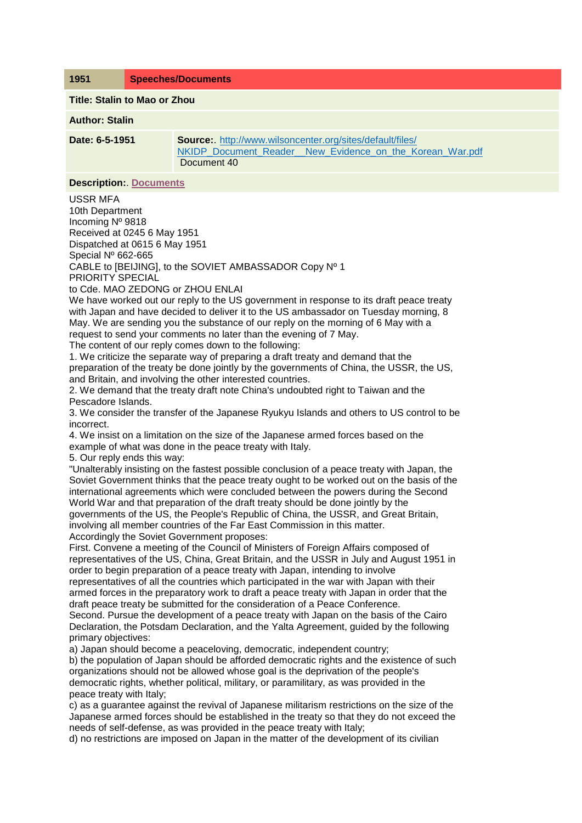**1951 Speeches/Documents**

**Title: Stalin to Mao or Zhou**

**Author: Stalin**

**Date: 6-5-1951 Source:**. [http://www.wilsoncenter.org/sites/default/files/](http://www.wilsoncenter.org/sites/default/files/NKIDP_Document_Reader__New_Evidence_on_the_Korean_War.pdf) NKIDP\_Document\_Reader\_New\_Evidence\_on\_the\_Korean\_War.pdf Document 40

**Description:**. **[Documents](file:///D:/Chronology/1951/Documents/ForeignMinisterChouEnLaisNote.pdf)**

USSR MFA 10th Department Incoming Nº 9818 Received at 0245 6 May 1951 Dispatched at 0615 6 May 1951 Special Nº 662-665 CABLE to [BEIJING], to the SOVIET AMBASSADOR Copy Nº 1 PRIORITY SPECIAL

to Cde. MAO ZEDONG or ZHOU ENLAI

We have worked out our reply to the US government in response to its draft peace treaty with Japan and have decided to deliver it to the US ambassador on Tuesday morning, 8 May. We are sending you the substance of our reply on the morning of 6 May with a request to send your comments no later than the evening of 7 May.

The content of our reply comes down to the following:

1. We criticize the separate way of preparing a draft treaty and demand that the preparation of the treaty be done jointly by the governments of China, the USSR, the US, and Britain, and involving the other interested countries.

2. We demand that the treaty draft note China's undoubted right to Taiwan and the Pescadore Islands.

3. We consider the transfer of the Japanese Ryukyu Islands and others to US control to be incorrect.

4. We insist on a limitation on the size of the Japanese armed forces based on the example of what was done in the peace treaty with Italy.

5. Our reply ends this way:

"Unalterably insisting on the fastest possible conclusion of a peace treaty with Japan, the Soviet Government thinks that the peace treaty ought to be worked out on the basis of the international agreements which were concluded between the powers during the Second World War and that preparation of the draft treaty should be done jointly by the governments of the US, the People's Republic of China, the USSR, and Great Britain, involving all member countries of the Far East Commission in this matter. Accordingly the Soviet Government proposes:

First. Convene a meeting of the Council of Ministers of Foreign Affairs composed of representatives of the US, China, Great Britain, and the USSR in July and August 1951 in order to begin preparation of a peace treaty with Japan, intending to involve representatives of all the countries which participated in the war with Japan with their armed forces in the preparatory work to draft a peace treaty with Japan in order that the draft peace treaty be submitted for the consideration of a Peace Conference. Second. Pursue the development of a peace treaty with Japan on the basis of the Cairo

Declaration, the Potsdam Declaration, and the Yalta Agreement, guided by the following primary objectives:

a) Japan should become a peaceloving, democratic, independent country;

b) the population of Japan should be afforded democratic rights and the existence of such organizations should not be allowed whose goal is the deprivation of the people's democratic rights, whether political, military, or paramilitary, as was provided in the peace treaty with Italy;

c) as a guarantee against the revival of Japanese militarism restrictions on the size of the Japanese armed forces should be established in the treaty so that they do not exceed the needs of self-defense, as was provided in the peace treaty with Italy;

d) no restrictions are imposed on Japan in the matter of the development of its civilian